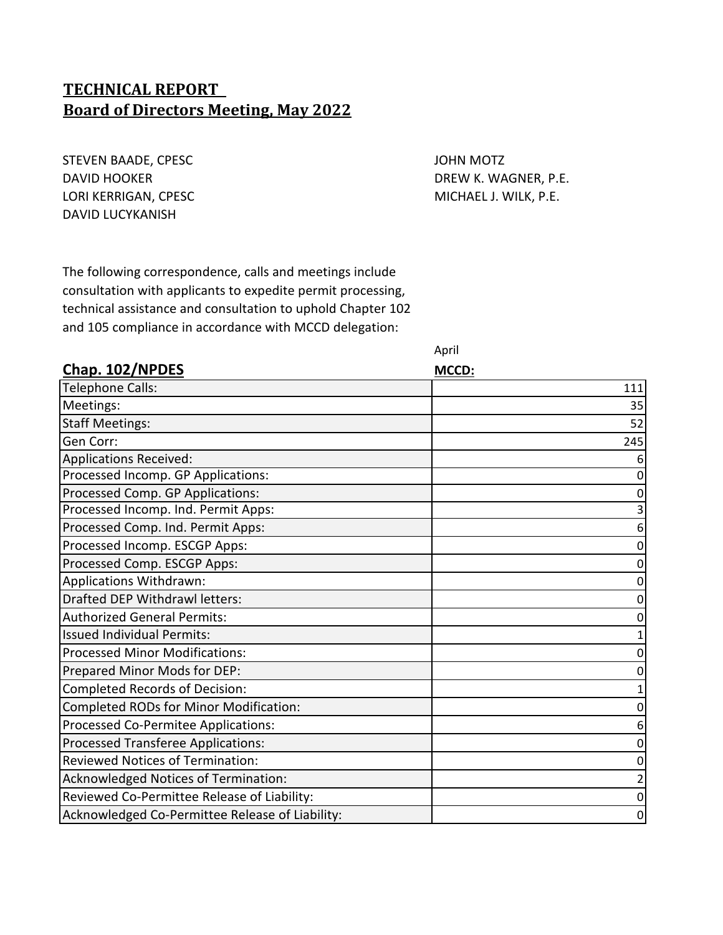### **TECHNICAL REPORT Board of Directors Meeting, May 2022**

STEVEN BAADE, CPESC **And STEVEN BAADE, CPESC JOHN MOTZ** DAVID HOOKER DAVID HOOKER DREW K. WAGNER, P.E. LORI KERRIGAN, CPESC **MICHAEL J. WILK, P.E.** DAVID LUCYKANISH

The following correspondence, calls and meetings include consultation with applicants to expedite permit processing, technical assistance and consultation to uphold Chapter 102 and 105 compliance in accordance with MCCD delegation:

April

| Chap. 102/NPDES                                 | MCCD: |
|-------------------------------------------------|-------|
| Telephone Calls:                                | 111   |
| Meetings:                                       | 35    |
| <b>Staff Meetings:</b>                          | 52    |
| Gen Corr:                                       | 245   |
| Applications Received:                          |       |
| Processed Incomp. GP Applications:              |       |
| Processed Comp. GP Applications:                |       |
| Processed Incomp. Ind. Permit Apps:             |       |
| Processed Comp. Ind. Permit Apps:               |       |
| Processed Incomp. ESCGP Apps:                   |       |
| Processed Comp. ESCGP Apps:                     |       |
| Applications Withdrawn:                         |       |
| Drafted DEP Withdrawl letters:                  |       |
| <b>Authorized General Permits:</b>              |       |
| <b>Issued Individual Permits:</b>               |       |
| <b>Processed Minor Modifications:</b>           |       |
| Prepared Minor Mods for DEP:                    |       |
| Completed Records of Decision:                  |       |
| Completed RODs for Minor Modification:          |       |
| Processed Co-Permitee Applications:             | 6     |
| Processed Transferee Applications:              | 0     |
| Reviewed Notices of Termination:                |       |
| Acknowledged Notices of Termination:            |       |
| Reviewed Co-Permittee Release of Liability:     | 0     |
| Acknowledged Co-Permittee Release of Liability: | 0     |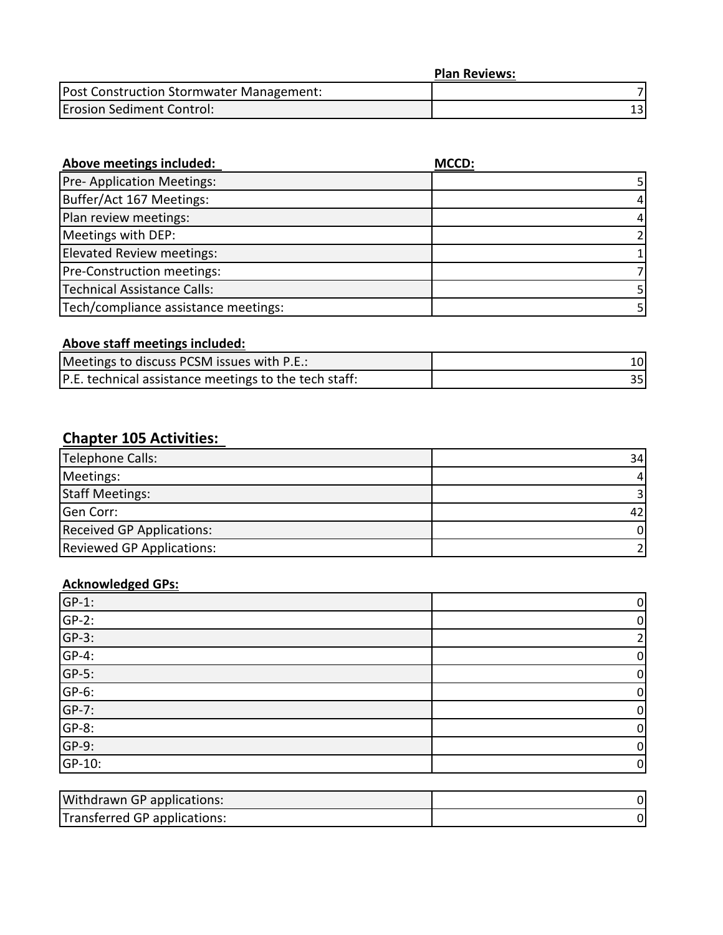|                                          | <b>Plan Reviews:</b> |
|------------------------------------------|----------------------|
| Post Construction Stormwater Management: |                      |
| <b>Erosion Sediment Control:</b>         |                      |

| Above meetings included:             | MCCD: |
|--------------------------------------|-------|
| Pre- Application Meetings:           |       |
| Buffer/Act 167 Meetings:             | 4     |
| Plan review meetings:                | 4     |
| Meetings with DEP:                   |       |
| <b>Elevated Review meetings:</b>     |       |
| Pre-Construction meetings:           |       |
| Technical Assistance Calls:          |       |
| Tech/compliance assistance meetings: |       |

### **Above staff meetings included:**

| Meetings to discuss PCSM issues with P.E.:            |  |
|-------------------------------------------------------|--|
| P.E. technical assistance meetings to the tech staff: |  |

# **Chapter 105 Activities:**

| Telephone Calls:                 | 34 |
|----------------------------------|----|
| Meetings:                        | 4  |
| <b>Staff Meetings:</b>           |    |
| Gen Corr:                        |    |
| <b>Received GP Applications:</b> | 01 |
| <b>Reviewed GP Applications:</b> |    |

### **Acknowledged GPs:**

| $GP-1$ : | 0 |
|----------|---|
| $GP-2$ : | 0 |
| $GP-3:$  |   |
| $GP-4$ : | 0 |
| $GP-5$ : | 0 |
| $GP-6$ : | 0 |
| $GP-7$ : | 0 |
| $GF-8$ : | 0 |
| $GP-9$ : | 0 |
| GP-10:   | 0 |

| <b>Withdrawn GP applications:</b> |  |
|-----------------------------------|--|
| Transferred GP applications:      |  |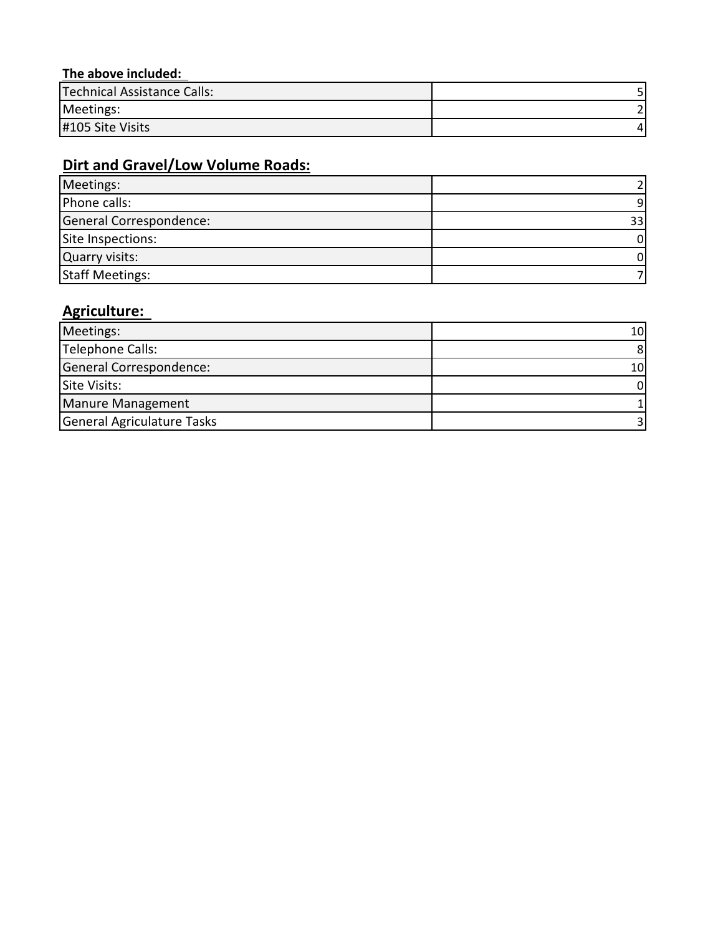### **The above included:**

| Technical Assistance Calls: |  |
|-----------------------------|--|
| Meetings:                   |  |
| #105 Site Visits            |  |

## **Dirt and Gravel/Low Volume Roads:**

| Meetings:               |    |
|-------------------------|----|
| Phone calls:            | a  |
| General Correspondence: | 33 |
| Site Inspections:       |    |
| Quarry visits:          |    |
| <b>Staff Meetings:</b>  |    |

## **Agriculture:**

| Meetings:                         | 10I |
|-----------------------------------|-----|
| Telephone Calls:                  |     |
| General Correspondence:           | 10  |
| Site Visits:                      |     |
| Manure Management                 |     |
| <b>General Agriculature Tasks</b> |     |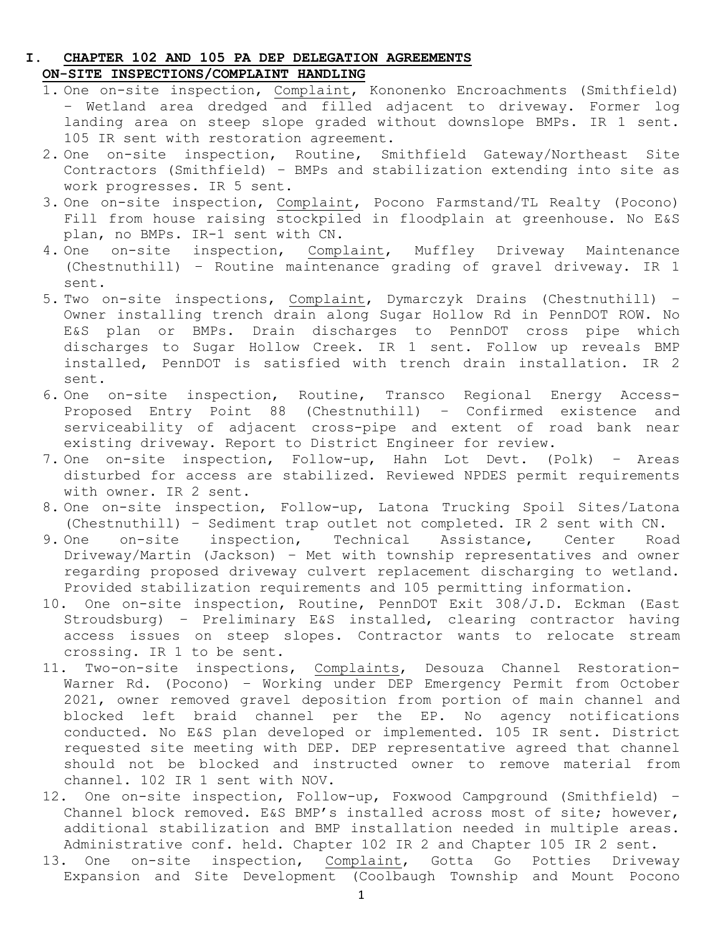#### **I. CHAPTER 102 AND 105 PA DEP DELEGATION AGREEMENTS ON-SITE INSPECTIONS/COMPLAINT HANDLING**

- 1. One on-site inspection, Complaint, Kononenko Encroachments (Smithfield) – Wetland area dredged and filled adjacent to driveway. Former log landing area on steep slope graded without downslope BMPs. IR 1 sent. 105 IR sent with restoration agreement.
- 2. One on-site inspection, Routine, Smithfield Gateway/Northeast Site Contractors (Smithfield) – BMPs and stabilization extending into site as work progresses. IR 5 sent.
- 3. One on-site inspection, Complaint, Pocono Farmstand/TL Realty (Pocono) Fill from house raising stockpiled in floodplain at greenhouse. No E&S plan, no BMPs. IR-1 sent with CN.
- 4. One on-site inspection, Complaint, Muffley Driveway Maintenance (Chestnuthill) – Routine maintenance grading of gravel driveway. IR 1 sent.
- 5. Two on-site inspections, Complaint, Dymarczyk Drains (Chestnuthill) Owner installing trench drain along Sugar Hollow Rd in PennDOT ROW. No E&S plan or BMPs. Drain discharges to PennDOT cross pipe which discharges to Sugar Hollow Creek. IR 1 sent. Follow up reveals BMP installed, PennDOT is satisfied with trench drain installation. IR 2 sent.
- 6. One on-site inspection, Routine, Transco Regional Energy Access-Proposed Entry Point 88 (Chestnuthill) – Confirmed existence and serviceability of adjacent cross-pipe and extent of road bank near existing driveway. Report to District Engineer for review.
- 7. One on-site inspection, Follow-up, Hahn Lot Devt. (Polk) Areas disturbed for access are stabilized. Reviewed NPDES permit requirements with owner. IR 2 sent.
- 8. One on-site inspection, Follow-up, Latona Trucking Spoil Sites/Latona (Chestnuthill) - Sediment trap outlet not completed. IR 2 sent with CN.<br>9. One on-site inspection, Technical Assistance, Center Roa
- on-site inspection, Technical Assistance, Center Road Driveway/Martin (Jackson) – Met with township representatives and owner regarding proposed driveway culvert replacement discharging to wetland. Provided stabilization requirements and 105 permitting information.
- 10. One on-site inspection, Routine, PennDOT Exit 308/J.D. Eckman (East Stroudsburg) – Preliminary E&S installed, clearing contractor having access issues on steep slopes. Contractor wants to relocate stream crossing. IR 1 to be sent.
- 11. Two-on-site inspections, Complaints, Desouza Channel Restoration-Warner Rd. (Pocono) – Working under DEP Emergency Permit from October 2021, owner removed gravel deposition from portion of main channel and blocked left braid channel per the EP. No agency notifications conducted. No E&S plan developed or implemented. 105 IR sent. District requested site meeting with DEP. DEP representative agreed that channel should not be blocked and instructed owner to remove material from channel. 102 IR 1 sent with NOV.
- 12. One on-site inspection, Follow-up, Foxwood Campground (Smithfield) Channel block removed. E&S BMP's installed across most of site; however, additional stabilization and BMP installation needed in multiple areas. Administrative conf. held. Chapter 102 IR 2 and Chapter 105 IR 2 sent.
- 13. One on-site inspection, Complaint, Gotta Go Potties Driveway Expansion and Site Development (Coolbaugh Township and Mount Pocono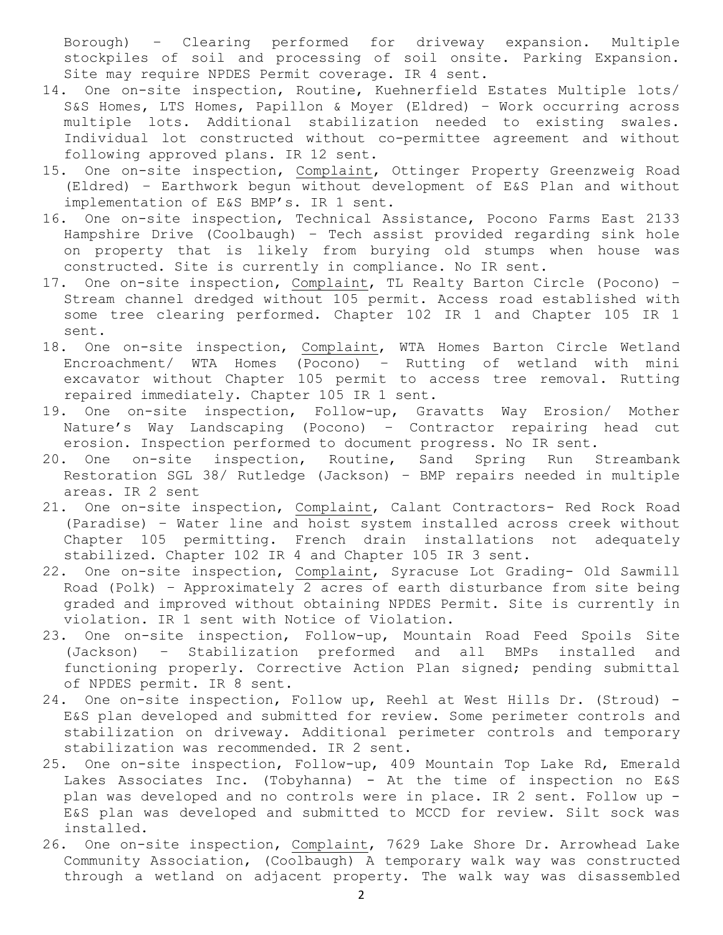Borough) – Clearing performed for driveway expansion. Multiple stockpiles of soil and processing of soil onsite. Parking Expansion. Site may require NPDES Permit coverage. IR 4 sent.

- 14. One on-site inspection, Routine, Kuehnerfield Estates Multiple lots/ S&S Homes, LTS Homes, Papillon & Moyer (Eldred) – Work occurring across multiple lots. Additional stabilization needed to existing swales. Individual lot constructed without co-permittee agreement and without following approved plans. IR 12 sent.
- 15. One on-site inspection, Complaint, Ottinger Property Greenzweig Road (Eldred) – Earthwork begun without development of E&S Plan and without implementation of E&S BMP's. IR 1 sent.
- 16. One on-site inspection, Technical Assistance, Pocono Farms East 2133 Hampshire Drive (Coolbaugh) – Tech assist provided regarding sink hole on property that is likely from burying old stumps when house was constructed. Site is currently in compliance. No IR sent.
- 17. One on-site inspection, Complaint, TL Realty Barton Circle (Pocono) Stream channel dredged without 105 permit. Access road established with some tree clearing performed. Chapter 102 IR 1 and Chapter 105 IR 1 sent.
- 18. One on-site inspection, Complaint, WTA Homes Barton Circle Wetland Encroachment/ WTA Homes (Pocono) – Rutting of wetland with mini excavator without Chapter 105 permit to access tree removal. Rutting repaired immediately. Chapter 105 IR 1 sent.
- 19. One on-site inspection, Follow-up, Gravatts Way Erosion/ Mother Nature's Way Landscaping (Pocono) – Contractor repairing head cut erosion. Inspection performed to document progress. No IR sent.
- 20. One on-site inspection, Routine, Sand Spring Run Streambank Restoration SGL 38/ Rutledge (Jackson) – BMP repairs needed in multiple areas. IR 2 sent
- 21. One on-site inspection, Complaint, Calant Contractors- Red Rock Road (Paradise) – Water line and hoist system installed across creek without Chapter 105 permitting. French drain installations not adequately stabilized. Chapter 102 IR 4 and Chapter 105 IR 3 sent.
- 22. One on-site inspection, Complaint, Syracuse Lot Grading- Old Sawmill Road (Polk) – Approximately 2 acres of earth disturbance from site being graded and improved without obtaining NPDES Permit. Site is currently in violation. IR 1 sent with Notice of Violation.
- 23. One on-site inspection, Follow-up, Mountain Road Feed Spoils Site (Jackson) – Stabilization preformed and all BMPs installed and functioning properly. Corrective Action Plan signed; pending submittal of NPDES permit. IR 8 sent.
- 24. One on-site inspection, Follow up, Reehl at West Hills Dr. (Stroud) E&S plan developed and submitted for review. Some perimeter controls and stabilization on driveway. Additional perimeter controls and temporary stabilization was recommended. IR 2 sent.
- 25. One on-site inspection, Follow-up, 409 Mountain Top Lake Rd, Emerald Lakes Associates Inc. (Tobyhanna) - At the time of inspection no E&S plan was developed and no controls were in place. IR 2 sent. Follow up -E&S plan was developed and submitted to MCCD for review. Silt sock was installed.
- 26. One on-site inspection, Complaint, 7629 Lake Shore Dr. Arrowhead Lake Community Association, (Coolbaugh) A temporary walk way was constructed through a wetland on adjacent property. The walk way was disassembled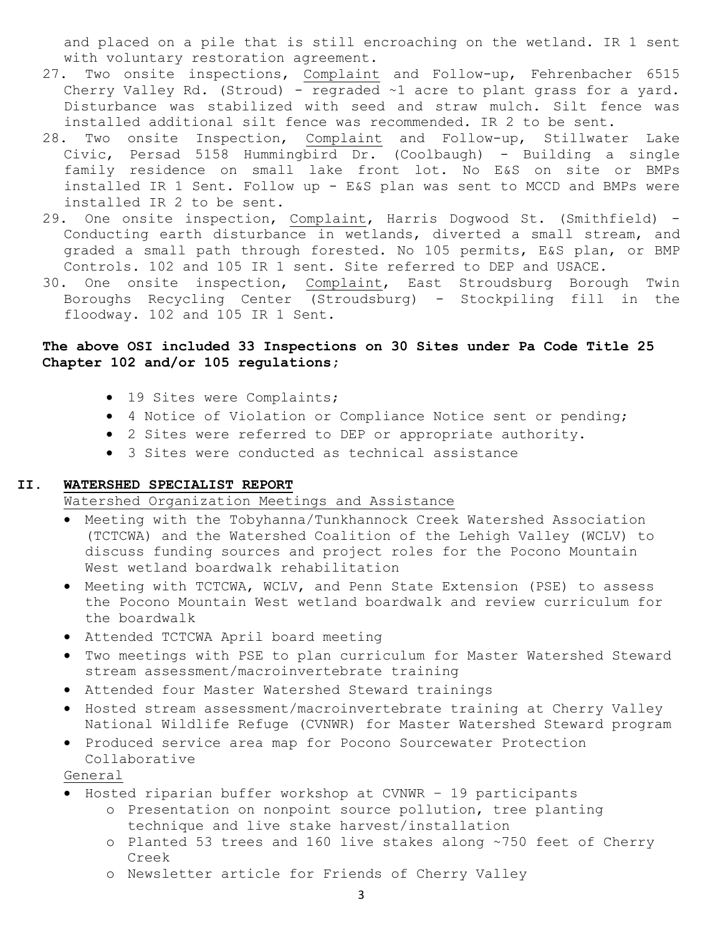and placed on a pile that is still encroaching on the wetland. IR 1 sent with voluntary restoration agreement.

- 27. Two onsite inspections, Complaint and Follow-up, Fehrenbacher 6515 Cherry Valley Rd. (Stroud) - regraded ~1 acre to plant grass for a yard. Disturbance was stabilized with seed and straw mulch. Silt fence was installed additional silt fence was recommended. IR 2 to be sent.
- 28. Two onsite Inspection, Complaint and Follow-up, Stillwater Lake Civic, Persad 5158 Hummingbird Dr. (Coolbaugh) - Building a single family residence on small lake front lot. No E&S on site or BMPs installed IR 1 Sent. Follow up - E&S plan was sent to MCCD and BMPs were installed IR 2 to be sent.
- 29. One onsite inspection, Complaint, Harris Dogwood St. (Smithfield) Conducting earth disturbance in wetlands, diverted a small stream, and graded a small path through forested. No 105 permits, E&S plan, or BMP Controls. 102 and 105 IR 1 sent. Site referred to DEP and USACE.
- 30. One onsite inspection, Complaint, East Stroudsburg Borough Twin Boroughs Recycling Center (Stroudsburg) - Stockpiling fill in the floodway. 102 and 105 IR 1 Sent.

#### **The above OSI included 33 Inspections on 30 Sites under Pa Code Title 25 Chapter 102 and/or 105 regulations;**

- 19 Sites were Complaints;
- 4 Notice of Violation or Compliance Notice sent or pending;
- 2 Sites were referred to DEP or appropriate authority.
- 3 Sites were conducted as technical assistance

#### **II. WATERSHED SPECIALIST REPORT**

Watershed Organization Meetings and Assistance

- Meeting with the Tobyhanna/Tunkhannock Creek Watershed Association (TCTCWA) and the Watershed Coalition of the Lehigh Valley (WCLV) to discuss funding sources and project roles for the Pocono Mountain West wetland boardwalk rehabilitation
- Meeting with TCTCWA, WCLV, and Penn State Extension (PSE) to assess the Pocono Mountain West wetland boardwalk and review curriculum for the boardwalk
- Attended TCTCWA April board meeting
- Two meetings with PSE to plan curriculum for Master Watershed Steward stream assessment/macroinvertebrate training
- Attended four Master Watershed Steward trainings
- Hosted stream assessment/macroinvertebrate training at Cherry Valley National Wildlife Refuge (CVNWR) for Master Watershed Steward program
- Produced service area map for Pocono Sourcewater Protection Collaborative

General

- Hosted riparian buffer workshop at CVNWR 19 participants
	- o Presentation on nonpoint source pollution, tree planting technique and live stake harvest/installation
	- o Planted 53 trees and 160 live stakes along ~750 feet of Cherry Creek
	- o Newsletter article for Friends of Cherry Valley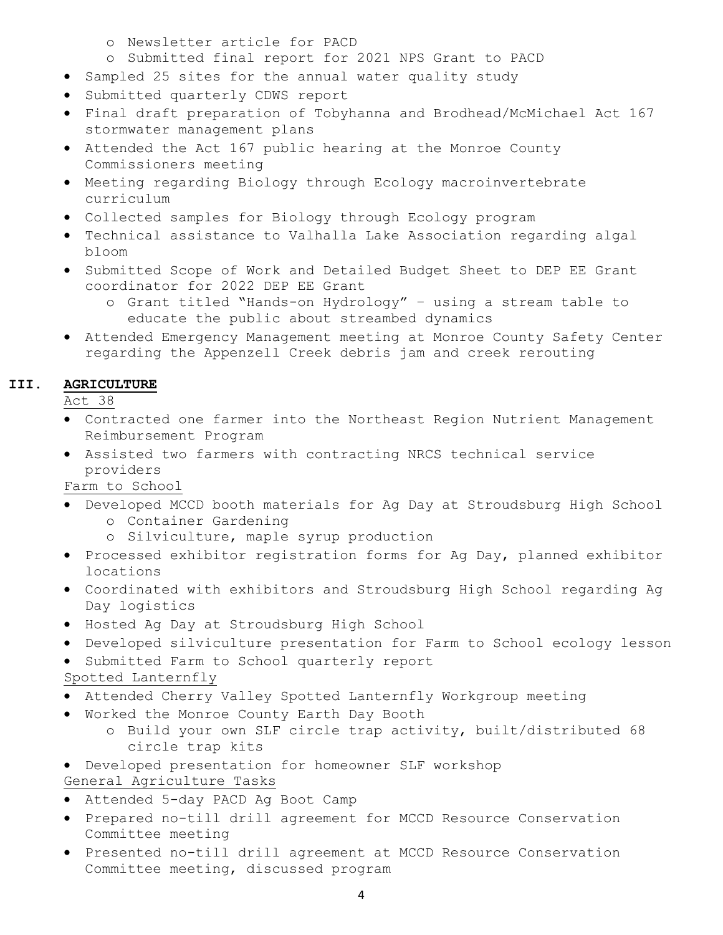- o Newsletter article for PACD
- o Submitted final report for 2021 NPS Grant to PACD
- Sampled 25 sites for the annual water quality study
- Submitted quarterly CDWS report
- Final draft preparation of Tobyhanna and Brodhead/McMichael Act 167 stormwater management plans
- Attended the Act 167 public hearing at the Monroe County Commissioners meeting
- Meeting regarding Biology through Ecology macroinvertebrate curriculum
- Collected samples for Biology through Ecology program
- Technical assistance to Valhalla Lake Association regarding algal bloom
- Submitted Scope of Work and Detailed Budget Sheet to DEP EE Grant coordinator for 2022 DEP EE Grant
	- o Grant titled "Hands-on Hydrology" using a stream table to educate the public about streambed dynamics
- Attended Emergency Management meeting at Monroe County Safety Center regarding the Appenzell Creek debris jam and creek rerouting

#### **III. AGRICULTURE**

Act 38

- Contracted one farmer into the Northeast Region Nutrient Management Reimbursement Program
- Assisted two farmers with contracting NRCS technical service providers

Farm to School

- Developed MCCD booth materials for Ag Day at Stroudsburg High School o Container Gardening
	- o Silviculture, maple syrup production
- Processed exhibitor registration forms for Ag Day, planned exhibitor locations
- Coordinated with exhibitors and Stroudsburg High School regarding Ag Day logistics
- Hosted Ag Day at Stroudsburg High School
- Developed silviculture presentation for Farm to School ecology lesson
- Submitted Farm to School quarterly report

Spotted Lanternfly

- Attended Cherry Valley Spotted Lanternfly Workgroup meeting
- Worked the Monroe County Earth Day Booth
	- o Build your own SLF circle trap activity, built/distributed 68 circle trap kits
- Developed presentation for homeowner SLF workshop
- General Agriculture Tasks
- Attended 5-day PACD Ag Boot Camp
- Prepared no-till drill agreement for MCCD Resource Conservation Committee meeting
- Presented no-till drill agreement at MCCD Resource Conservation Committee meeting, discussed program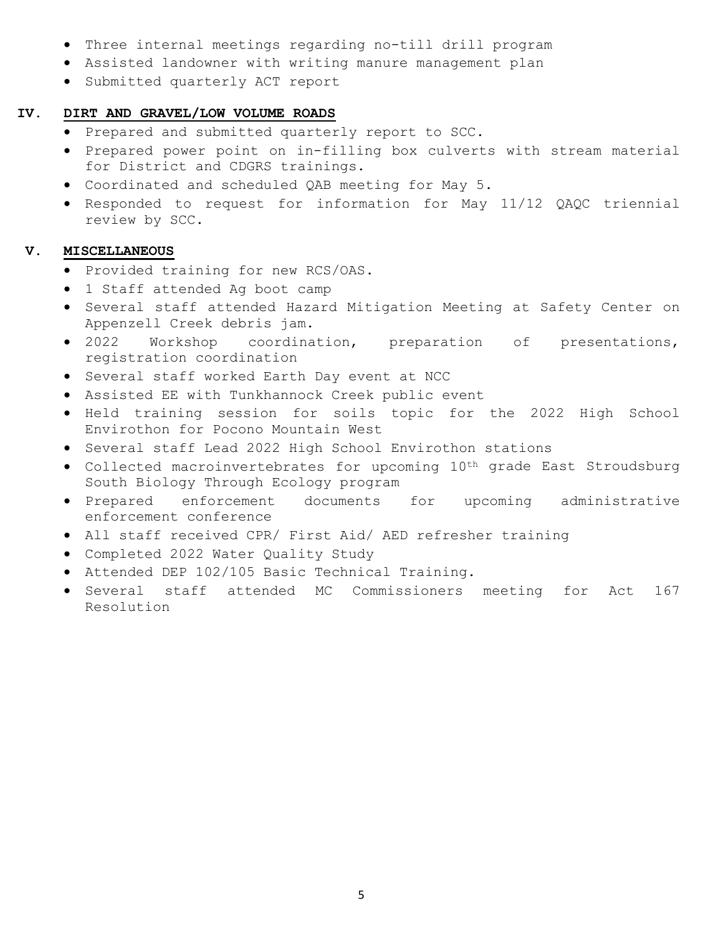- Three internal meetings regarding no-till drill program
- Assisted landowner with writing manure management plan
- Submitted quarterly ACT report

#### **IV. DIRT AND GRAVEL/LOW VOLUME ROADS**

- Prepared and submitted quarterly report to SCC.
- Prepared power point on in-filling box culverts with stream material for District and CDGRS trainings.
- Coordinated and scheduled QAB meeting for May 5.
- Responded to request for information for May 11/12 QAQC triennial review by SCC.

#### **V. MISCELLANEOUS**

- Provided training for new RCS/OAS.
- 1 Staff attended Ag boot camp
- Several staff attended Hazard Mitigation Meeting at Safety Center on Appenzell Creek debris jam.
- 2022 Workshop coordination, preparation of presentations, registration coordination
- Several staff worked Earth Day event at NCC
- Assisted EE with Tunkhannock Creek public event
- Held training session for soils topic for the 2022 High School Envirothon for Pocono Mountain West
- Several staff Lead 2022 High School Envirothon stations
- Collected macroinvertebrates for upcoming 10th grade East Stroudsburg South Biology Through Ecology program
- Prepared enforcement documents for upcoming administrative enforcement conference
- All staff received CPR/ First Aid/ AED refresher training
- Completed 2022 Water Quality Study
- Attended DEP 102/105 Basic Technical Training.
- Several staff attended MC Commissioners meeting for Act 167 Resolution